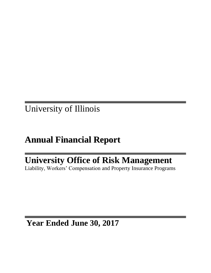Reported to the Board of Trustees November 16, 2017

# University of Illinois

# **Annual Financial Report**

# **University Office of Risk Management**

Liability, Workers' Compensation and Property Insurance Programs

# **Year Ended June 30, 2017**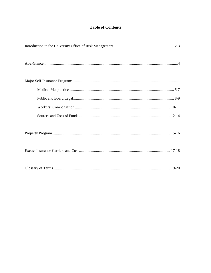# **Table of Contents**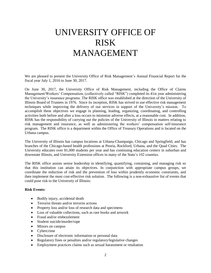# UNIVERSITY OFFICE OF RISK MANAGEMENT

We are pleased to present the University Office of Risk Management's Annual Financial Report for the fiscal year July 1, 2016 to June 30, 2017.

On June 30, 2017, the University Office of Risk Management, including the Office of Claims Management/Workers' Compensation, (collectively called "RISK") completed its 41st year administering the University's insurance programs. The RISK office was established at the direction of the University of Illinois Board of Trustees in 1976. Since its inception, RISK has strived to use effective risk management techniques while improving the delivery of our services in support of the University's mission. To accomplish these objectives we engage in planning, leading, organizing, coordinating, and controlling activities both before and after a loss occurs to minimize adverse effects, at a reasonable cost. In addition, RISK has the responsibility of carrying out the policies of the University of Illinois in matters relating to risk management and insurance, as well as administering the workers' compensation self-insurance program. The RISK office is a department within the Office of Treasury Operations and is located on the Urbana campus.

The University of Illinois has campus locations at Urbana-Champaign, Chicago and Springfield, and has branches of the Chicago-based health professions at Peoria, Rockford, Urbana, and the Quad Cities. The University educates over 81,000 students per year and has continuing education centers in suburban and downstate Illinois, and University Extension offices in many of the State's 102 counties.

The RISK office assists senior leadership in identifying, quantifying, containing, and managing risk so that this institution can attain its objectives. In conjunction with appropriate campus groups, we coordinate the reduction of risk and the prevention of loss within prudently economic constraints, and then implement the most cost-effective risk solution. The following is a non-exhaustive list of events that could pose risk to the University of Illinois:

#### **Risk Events:**

- Bodily injury, accidental death
- Terrorist threats and/or terrorist actions
- Property loss and/or loss of research data and specimens
- Loss of valuable collections, such as rare books and artwork
- Fraud and/or embezzlement
- Student suicide/murder/rape
- Minors on campus
- Cybercrime
- Disclosure of electronic information or personal data
- Regulatory fines or penalties and/or regulatory/legislative changes
- Employment practices claims such as sexual harassment or retaliation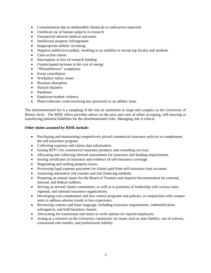- Contamination due to mishandled chemicals or radioactive materials
- Unethical use of human subjects in research
- Unexpected adverse medical outcomes
- Intellectual property infringement
- Inappropriate athletic recruiting
- Negative publicity/scandals, resulting in an inability to recruit top faculty and students
- Class action claims
- Interruption or loss of research funding
- Unanticipated increase in the cost of energy
- "Whistleblower" complaints
- Event cancellation
- Workplace safety issues
- Business disruption
- Natural disasters
- Pandemic
- Employee/student violence
- Plane/vehicular crash involving key personnel or an athletic team

The aforementioned list is a sampling of the risk an institution as large and complex as the University of Illinois faces. The RISK office provides advice on the pros and cons of either accepting, self-insuring or transferring potential liabilities for the aforementioned risks. Managing risk is critical.

#### **Other duties assumed by RISK include:**

- Purchasing and maintaining competitively priced commercial insurance policies to complement the self-insurance program.
- Collecting exposure and claims data information.
- Issuing RFP's for commercial insurance products and consulting services.
- Allocating and collecting internal assessments for insurance and funding requirements.
- Issuing certificates of insurance and evidence of self-insurance coverage.
- Negotiating and settling property losses.
- Processing legal expense payments for claims paid from self-insurance trust accounts.
- Analyzing alternative risk transfer and risk financing methods.
- Preparing an annual report for the Board of Trustees and required documentation for external, internal, and federal auditors.
- Serving on several claims committees, as well as in positions of leadership with various state, regional, and national insurance organizations.
- Developing cost containment and loss control programs and policies, in conjunction with campus units to address adverse trends in loss experience.
- Reviewing contract and lease language, including insurance requirements, indemnification, subrogation, and hold harmless clauses.
- Advocating for transitional and return to work options for injured employees.
- Acting as a resource to the University community on issues such as auto liability, use of waivers, contractual risk transfer, and professional liability.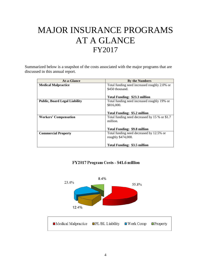# MAJOR INSURANCE PROGRAMS AT A GLANCE FY2017

Summarized below is a snapshot of the costs associated with the major programs that are discussed in this annual report.

| <b>At-a-Glance</b>                   | <b>By the Numbers</b>                         |
|--------------------------------------|-----------------------------------------------|
| <b>Medical Malpractice</b>           | Total funding need increased roughly 2.0% or  |
|                                      | \$450 thousand.                               |
|                                      |                                               |
|                                      | Total Funding: \$23.3 million                 |
| <b>Public, Board Legal Liability</b> | Total funding need increased roughly 19% or   |
|                                      | \$816,000.                                    |
|                                      |                                               |
|                                      | <b>Total Funding: \$5.2 million</b>           |
| <b>Workers' Compensation</b>         | Total funding need decreased by 15 % or \$1.7 |
|                                      | million.                                      |
|                                      |                                               |
|                                      | <b>Total Funding: \$9.8 million</b>           |
| <b>Commercial Property</b>           | Total funding need decreased by 12.5% or      |
|                                      | roughly \$474,000.                            |
|                                      |                                               |
|                                      | Total Funding: \$3.5 million                  |

FY2017 Program Costs - \$41.6 million

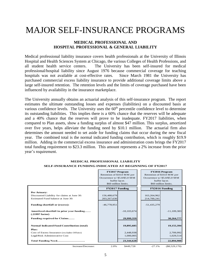# MAJOR SELF-INSURANCE PROGRAMS

### **MEDICAL PROFESSIONAL AND HOSPITAL PROFESSIONAL & GENERAL LIABILITY**

Medical professional liability insurance covers health professionals at the University of Illinois Hospital and Health Sciences System at Chicago, the various Colleges of Health Professions, and all student health service centers. The University has been self-insured for medical professional/hospital liability since August 1976 because commercial coverage for teaching hospitals was not available at cost-effective rates. Since March 1981 the University has purchased commercial excess liability insurance to provide additional coverage limits above a large self-insured retention. The retention levels and the limits of coverage purchased have been influenced by availability in the insurance marketplace.

The University annually obtains an actuarial analysis of this self-insurance program. The report estimates the ultimate outstanding losses and expenses (liabilities) on a discounted basis at various confidence levels. The University uses the  $60<sup>th</sup>$  percentile confidence level to determine its outstanding liabilities. This implies there is a 60% chance that the reserves will be adequate and a 40% chance that the reserves will prove to be inadequate. FY2017 liabilities, when compared to Plan assets, show a funding surplus of almost \$47 million. This surplus, amortized over five years, helps alleviate the funding need by \$10.1 million. The actuarial firm also determines the amount needed to set aside for funding claims that occur during the new fiscal year. The combined total is the normal indicated funding contribution, which is roughly \$19.9 million. Adding in the commercial excess insurance and administration costs brings the FY2017 total funding requirement to \$23.3 million. This amount represents a 2% increase from the prior year's requirement.

|                                                                                                   | <b>FY2017 Program</b><br>Retention of \$10.0 MM per<br>Occurrence w/ \$5.0/\$5.0 MM<br>buffer layer.<br>\$60 million limits. |                 |                            | <b>FY2016 Program</b><br>Retention of \$10.0 MM per<br>Occurrence $w/$ \$5.0/\$5.0 MM<br>buffer layer.<br>\$60 million limits. |
|---------------------------------------------------------------------------------------------------|------------------------------------------------------------------------------------------------------------------------------|-----------------|----------------------------|--------------------------------------------------------------------------------------------------------------------------------|
|                                                                                                   | FY2017 Funding                                                                                                               |                 |                            | FY2016 Funding                                                                                                                 |
| Per Actuary:<br>Discounted Liability for claims at June 30:<br>Estimated Fund balance at June 30: | 156,488,679<br>203,267,630                                                                                                   |                 | 163,264,962<br>214,700,241 |                                                                                                                                |
| <b>Funding shortfall or (excess):</b>                                                             | $-46,778,951$                                                                                                                |                 | $-51,435,279$              |                                                                                                                                |
| Amortized shortfall in prior year funding<br>(.21997 factor)                                      |                                                                                                                              | $-10, 103, 674$ |                            | $-11,109,383$                                                                                                                  |
| Funding required for Claims                                                                       |                                                                                                                              | 29,999,359      |                            | 30,264,777                                                                                                                     |
| <b>Normal Indicated Fund Contribution (total)</b>                                                 |                                                                                                                              | 19,895,685      |                            | 19,155,394                                                                                                                     |
| Plus:<br>Cost of Excess Insurance (excludes Offsite)                                              |                                                                                                                              | 2,448,938       |                            | 2,709,992                                                                                                                      |
| Legal/Risk Administrative Cost                                                                    |                                                                                                                              | 1,000,005       |                            | 1,029,514                                                                                                                      |
| Total Funding Need                                                                                |                                                                                                                              | 23,344,628      |                            | 22,894,900                                                                                                                     |
| Increase/Decrease:                                                                                | 2.0%                                                                                                                         | \$449.728       | $-27.1%$                   | $(\$8,529,170)$                                                                                                                |

#### **MEDICAL PROFESSIONAL LIABILITY SELF-INSURANCE FUNDING INDICATED AT BEGINNING OF FY2017**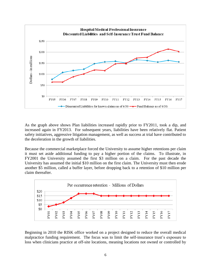

As the graph above shows Plan liabilities increased rapidly prior to FY2011, took a dip, and increased again in FY2013. For subsequent years, liabilities have been relatively flat. Patient safety initiatives, aggressive litigation management, as well as success at trial have contributed to the deceleration in the growth of liabilities.

Because the commercial marketplace forced the University to assume higher retentions per claim it must set aside additional funding to pay a higher portion of the claims. To illustrate, in FY2001 the University assumed the first \$3 million on a claim. For the past decade the University has assumed the initial \$10 million on the first claim. The University must then erode another \$5 million, called a buffer layer, before dropping back to a retention of \$10 million per claim thereafter.



Beginning in 2010 the RISK office worked on a project designed to reduce the overall medical malpractice funding requirement. The focus was to limit the self-insurance trust's exposure to loss when clinicians practice at off-site locations, meaning locations not owned or controlled by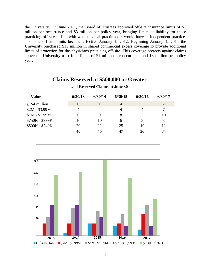the University. In June 2011, the Board of Trustees approved off-site insurance limits of \$1 million per occurrence and \$3 million per policy year, bringing limits of liability for those practicing off-site in line with what medical practitioners would have in independent practice. The new off-site limits became effective January 1, 2012. Beginning January 1, 2014 the University purchased \$15 million in shared commercial excess coverage to provide additional limits of protection for the physicians practicing off-site. This coverage protects against claims above the University trust fund limits of \$1 million per occurrence and \$3 million per policy year.

## **Claims Reserved at \$500,000 or Greater**

# **Value 6/30/13 6/30/14 6/30/15 6/30/16 6/30/17**  $\geq$  \$4 million 0 1 4 3 2  $$2M - $3.99M$  4 4 4 4 7  $$1M - $1.99M$  6 9 8 7 10 \$750K - \$999K 10 10 6 3 3  $$500K - $749K$  20 21 25 19 12 **40 45 47 36 34**



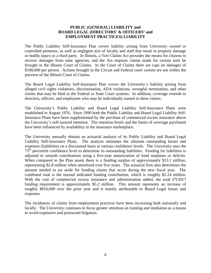### **PUBLIC (GENERAL) LIABILITY and BOARD LEGAL (DIRECTORS' & OFFICERS' and EMPLOYMENT PRACTICES) LIABILITY**

The Public Liability Self-Insurance Plan covers liability arising from University owned or controlled premises, as well as negligent acts of faculty and staff that result in property damage or bodily injury to a third party. In Illinois, a Tort Claims Act provides the means for citizens to recover damages from state agencies, and the Act requires claims made for certain torts be brought in the Illinois Court of Claims. In the Court of Claims there are caps on damages of \$100,000 per person. Actions brought in the Circuit and Federal court system are not within the purview of the Illinois Court of Claims.

The Board Legal Liability Self-Insurance Plan covers the University's liability arising from alleged civil rights violations, discrimination, ADA violations, wrongful termination, and other claims that may be filed in the Federal or State Court systems. In addition, coverage extends to directors, officers, and employees who may be individually named in these claims.

The University's Public Liability and Board Legal Liability Self-Insurance Plans were established in August 1976. Since 1990 both the Public Liability and Board Legal Liability Self-Insurance Plans have been supplemented by the purchase of commercial excess insurance above the University's self-insured retention. The retention levels and the limits of coverage purchased have been influenced by availability in the insurance marketplace.

The University annually obtains an actuarial analysis of its Public Liability and Board Legal Liability Self-Insurance Plans. The analysis estimates the ultimate outstanding losses and expenses (liabilities) on a discounted basis at various confidence levels. The University uses the 75th percentile confidence level to determine its outstanding liabilities. Funding for liabilities is adjusted to smooth contributions using a five-year amortization of fund surpluses or deficits. When compared to the Plan assets there is a funding surplus of approximately \$13.1 million, representing \$2.8 million when amortized over five years. The actuarial firm also determines the amount needed to set aside for funding claims that occur during the new fiscal year. The combined total is the normal indicated funding contribution, which is roughly \$2.24 million. With the cost of commercial excess insurance and administration added, the total FY2017 funding requirement is approximately \$5.2 million. This amount represents an increase of roughly \$816,000 over the prior year and is mainly attributable to Board Legal losses and expenses.

The incidences of claims from employment practices have been increasing both nationally and locally. The University continues to focus greater attention on training and mediation as a means to avoid expensive and protracted litigation.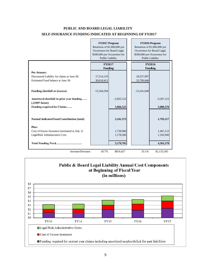## **PUBLIC AND BOARD LEGAL LIABILITY SELF-INSURANCE FUNDING INDICATED AT BEGINNING OF FY2017**

|                                                              | FY2017 Program<br>Retention of \$1,000,000 per<br>Occurrence for Board Legal;<br>\$500,000 per Occurrence for<br>Public Liability |              | FY2016 Program<br>Retention of \$1,000,000 per<br>Occurrence for Board Legal;<br>\$500,000 per Occurrence for<br>Public Liability |               |                          |
|--------------------------------------------------------------|-----------------------------------------------------------------------------------------------------------------------------------|--------------|-----------------------------------------------------------------------------------------------------------------------------------|---------------|--------------------------|
|                                                              | <b>FY2017</b><br><b>Funding</b>                                                                                                   |              |                                                                                                                                   |               | FY2016<br><b>Funding</b> |
| Per Actuary:                                                 |                                                                                                                                   |              |                                                                                                                                   |               |                          |
| Discounted Liability for claims at June 30:                  | 17,514,119                                                                                                                        |              |                                                                                                                                   | 18,557,997    |                          |
| Estimated Fund balance at June 30:                           | 30,618,413                                                                                                                        |              |                                                                                                                                   | 33,799,646    |                          |
| <b>Funding shortfall or (excess):</b>                        | $-13,104,294$                                                                                                                     |              |                                                                                                                                   | $-15,241,649$ |                          |
| Amortized shortfall in prior year funding<br>(.21997 factor) |                                                                                                                                   | $-2,825,152$ |                                                                                                                                   |               | $-3,287,153$             |
| Funding required for Claims                                  |                                                                                                                                   | 5,066,525    |                                                                                                                                   |               | 5,080,370                |
| <b>Normal Indicated Fund Contribution (total)</b>            |                                                                                                                                   | 2,241,373    |                                                                                                                                   |               | 1,793,217                |
| Plus:<br>Cost of Excess Insurance (estimated at July 1)      |                                                                                                                                   | 1,759,966    |                                                                                                                                   |               | 1,467,112                |
| Legal/Risk Administrative Cost                               |                                                                                                                                   | 1,178,366    |                                                                                                                                   |               | 1,102,949                |
|                                                              |                                                                                                                                   |              |                                                                                                                                   |               |                          |
| Total Funding Need                                           |                                                                                                                                   | 5,179,705    |                                                                                                                                   |               | 4,363,278                |
| Increase/Decrease:                                           | 18.7%                                                                                                                             | \$816,427    |                                                                                                                                   | 35.1%         | \$1,133,345              |

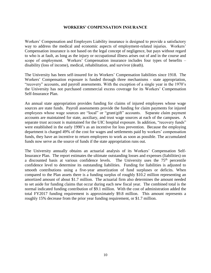### **WORKERS' COMPENSATION INSURANCE**

Workers' Compensation and Employers Liability insurance is designed to provide a satisfactory way to address the medical and economic aspects of employment-related injuries. Workers' Compensation insurance is not based on the legal concept of negligence, but pays without regard to who is at fault, as long as the injury or occupational illness arises out of and in the course and scope of employment. Workers' Compensation insurance includes four types of benefits – disability (loss of income), medical, rehabilitation, and survivor (death).

The University has been self-insured for its Workers' Compensation liabilities since 1918. The Workers' Compensation exposure is funded through three mechanisms - state appropriation, "recovery" accounts, and payroll assessments. With the exception of a single year in the 1970's the University has not purchased commercial excess coverage for its Workers' Compensation Self-Insurance Plan.

An annual state appropriation provides funding for claims of injured employees whose wage sources are state funds. Payroll assessments provide the funding for claim payments for injured employees whose wage sources are "local" or "grant/gift" accounts. Separate claim payment accounts are maintained for state, auxiliary, and trust wage sources at each of the campuses. A separate trust account is maintained for the UIC hospital exposure. In addition, "recovery funds" were established in the early 1990's as an incentive for loss prevention. Because the employing department is charged 49% of the cost for wages and settlements paid by workers' compensation funds, they have an incentive to return employees to work as soon as possible. The accumulated funds now serve as the source of funds if the state appropriation runs out.

The University annually obtains an actuarial analysis of its Workers' Compensation Self-Insurance Plan. The report estimates the ultimate outstanding losses and expenses (liabilities) on a discounted basis at various confidence levels. The University uses the 75<sup>th</sup> percentile confidence level to determine its outstanding liabilities. Funding for liabilities is adjusted to smooth contributions using a five-year amortization of fund surpluses or deficits. When compared to the Plan assets there is a funding surplus of roughly \$10.2 million representing an amortized amount of about \$1.7 million. The actuarial firm also determines the amount needed to set aside for funding claims that occur during each new fiscal year. The combined total is the normal indicated funding contribution of \$9.1 million. With the cost of administration added the total FY2017 funding requirement is approximately \$9.8 million. This amount represents a roughly 15% decrease from the prior year funding requirement, or \$1.7 million.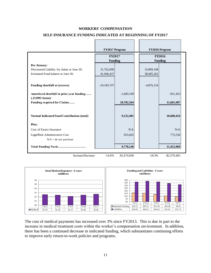#### **WORKERS' COMPENSATION**

#### **SELF-INSURANCE FUNDING INDICATED AT BEGINNING OF FY2017**

|                                                                                                                                                                                                                                                                                                                                                                                                                                  | FY2017 Program                  |                |                          | FY2016 Program                  |
|----------------------------------------------------------------------------------------------------------------------------------------------------------------------------------------------------------------------------------------------------------------------------------------------------------------------------------------------------------------------------------------------------------------------------------|---------------------------------|----------------|--------------------------|---------------------------------|
|                                                                                                                                                                                                                                                                                                                                                                                                                                  | <b>FY2017</b><br><b>Funding</b> |                |                          | <b>FY2016</b><br><b>Funding</b> |
| Per Actuary:<br>Discounted Liability for claims at June 30:<br>Estimated Fund balance at June 30:                                                                                                                                                                                                                                                                                                                                | 31,762,690<br>41,946,437        |                | 33,809,108<br>38,685,262 |                                 |
| <b>Funding shortfall or (excess):</b>                                                                                                                                                                                                                                                                                                                                                                                            | $-10,183,747$                   |                | $-4,876,154$             |                                 |
| Amortized shortfall in prior year funding<br>(.213991 factor)                                                                                                                                                                                                                                                                                                                                                                    |                                 | $-1,669,109$   |                          | $-921,453$                      |
| Funding required for Claims                                                                                                                                                                                                                                                                                                                                                                                                      |                                 | 10,702,564     |                          | 11,601,907                      |
| Normal Indicated Fund Contribution (total)                                                                                                                                                                                                                                                                                                                                                                                       |                                 | 9,122,481      |                          | 10,680,454                      |
| Plus:<br>Cost of Excess Insurance<br>Legal/Risk Administrative Cost<br>$N/A =$ do not purchase                                                                                                                                                                                                                                                                                                                                   |                                 | N/A<br>655,665 |                          | N/A<br>772,530                  |
| 9,778,146                                                                                                                                                                                                                                                                                                                                                                                                                        |                                 |                | 11,452,984               |                                 |
| Increase/Decrease:<br>$-14.6%$<br>$-$1,674,838$<br>$-18.3%$<br>$-$ \$2,570,403                                                                                                                                                                                                                                                                                                                                                   |                                 |                |                          |                                 |
| <b>Total Medical Expenses - 5 years</b><br>Funding and Liabilities - 5 years<br>(millions)<br>(millions)                                                                                                                                                                                                                                                                                                                         |                                 |                |                          |                                 |
| \$40<br>\$6<br>\$35<br>\$5<br>\$30<br>\$25<br>\$4<br>\$20<br>\$3<br>\$15<br>\$10<br>\$2<br>\$5<br>\$1<br>\$0<br>FY13<br>FY14<br>FY15<br>FY16<br>FY17<br>\$0<br>\$15.91<br>\$10.68<br><b>□Indicated Funding</b><br>\$16.31<br>\$13.18<br>\$9.02<br>FY13<br>FY14<br>FY15<br>FY16<br>FY17<br><b>Liabilities</b><br>\$36.65<br>\$38.01<br>\$36.82<br>\$33.81<br>\$31.72<br>Medical<br>\$2.54<br>\$2.38<br>\$2.13<br>\$2.41<br>\$2.62 |                                 |                |                          |                                 |
| The cost of medical payments has increased over 3% since FY2013. This is due in part to the<br>ncrease in medical treatment costs within the worker's compensation environment. In addition,<br>here has been a continued decrease in indicated funding, which substantiates continuing efforts<br>o improve early return-to-work policies and programs.                                                                         |                                 |                |                          |                                 |
|                                                                                                                                                                                                                                                                                                                                                                                                                                  | 11                              |                |                          |                                 |

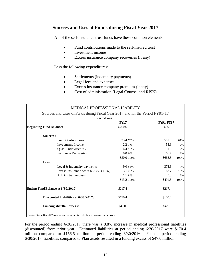## **Sources and Uses of Funds during Fiscal Year 2017**

All of the self-insurance trust funds have these common elements:

- Fund contributions made to the self-insured trust
- Investment income
- Excess insurance company recoveries (if any)

Less the following expenditures:

- Settlements (indemnity payments)
- Legal fees and expenses
- Excess insurance company premium (if any)
- Cost of administration (Legal Counsel and RISK)

| MEDICAL PROFESSIONAL LIABILITY                                               |             |                  |      |
|------------------------------------------------------------------------------|-------------|------------------|------|
| Sources and Uses of Funds during Fiscal Year 2017 and for the Period FY91-17 |             |                  |      |
| (in millions)                                                                |             |                  |      |
|                                                                              | <b>FY17</b> | <b>FY91-FY17</b> |      |
| <b>Beginning Fund Balance:</b>                                               | \$200.6     | \$39.9           |      |
| Sources:                                                                     |             |                  |      |
| <b>Fund Contributions</b>                                                    | 23.4 78%    | 581.6            | 87%  |
| Investment Income                                                            | 2.2 7%      | 58.9             | 9%   |
| Quasi-Endowment G/L                                                          | 4.4 15%     | 11.5             | 2%   |
| <b>Insurance Recoveries</b>                                                  | $0.0\,0\%$  | 16.7             | 2%   |
|                                                                              | \$30.0 100% | \$668.8          | 100% |
| Uses:                                                                        |             |                  |      |
| Legal & Indemnity payments                                                   | 9.0 68%     | 378.6            | 77%  |
| Excess Insurance costs (includes Offsite)                                    | 3.1 23%     | 87.7             | 18%  |
| Administrative costs                                                         | 1.1 8%      | 25.0             | 5%   |
|                                                                              | \$13.2 100% | \$491.3          | 100% |
| Ending Fund Balance at 6/30/2017:                                            | \$217.4     | \$217.4          |      |
| Discounted Liabilities at 6/30/2017:                                         | \$170.4     | \$170.4          |      |
| <b>Funding shortfall/excess:</b>                                             | \$47.0      | \$47.0           |      |
| Note: Rounding differences may account for slight discrepancies in totals    |             |                  |      |

For the period ending 6/30/2017 there was a 8.8% increase in medical professional liabilities (discounted) from prior year. Estimated liabilities at period ending 6/30/2017 were \$170.4 million compared to \$156.5 million at period ending 6/30/2016. For the period ending 6/30/2017, liabilities compared to Plan assets resulted in a funding excess of \$47.0 million.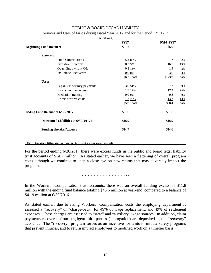| PUBLIC & BOARD LEGAL LIABILITY                                               |             |                  |      |
|------------------------------------------------------------------------------|-------------|------------------|------|
| Sources and Uses of Funds during Fiscal Year 2017 and for the Period FY91-17 |             |                  |      |
| (in millions)                                                                |             |                  |      |
|                                                                              | <b>FY17</b> | <b>FY91-FY17</b> |      |
| <b>Beginning Fund Balance:</b>                                               | \$31.2      | \$6.0            |      |
| Sources:                                                                     |             |                  |      |
| <b>Fund Contributions</b>                                                    | 5.2 83%     | 101.7            | 82%  |
| Investment Income                                                            | 0.35%       | 16.7             | 13%  |
| Quasi-Endowment G/L                                                          | 0.8 13%     | 1.9              | 2%   |
| <b>Insurance Recoveries</b>                                                  | $0.00\%$    | 3.6              | 3%   |
|                                                                              | \$6.3 100%  | \$123.9          | 100% |
| Uses:                                                                        |             |                  |      |
| Legal & Indemnity payments                                                   | 3.0 51%     | 67.7             | 69%  |
| Excess Insurance costs                                                       | 1.7 29%     | 17.3             | 18%  |
| Mediation training                                                           | $0.0\,0\%$  | 0.2              | 0%   |
| Administrative costs                                                         | 1.2 20%     | 13.2             | 13%  |
|                                                                              | \$5.9 100%  | \$98.4           | 100% |
| Ending Fund Balance at 6/30/2017:                                            | \$31.6      | \$31.5           |      |
| Discounted Liabilities at 6/30/2017:                                         | \$16.9      | \$16.9           |      |
| <b>Funding shortfall/excess:</b>                                             | \$14.7      | \$14.6           |      |
| Note: Rounding differences may account for slight discrepancies in totals    |             |                  |      |

For the period ending 6/30/2017 there were excess funds in the public and board legal liability trust accounts of \$14.7 million. As stated earlier, we have seen a flattening of overall program costs although we continue to keep a close eye on new claims that may adversely impact the program.

#### ……………..

In the Workers' Compensation trust accounts, there was an overall funding excess of \$11.8 million with the ending fund balance totaling \$43.6 million at year-end, compared to a balance of \$41.9 million at 6/30/2016.

As stated earlier, due to rising Workers' Compensation costs the employing department is assessed a "recovery" or "charge-back" for 49% of wage replacement, and 49% of settlement expenses. These charges are assessed to "state" and "auxiliary" wage sources. In addition, claim payments recovered from negligent third-parties (subrogation) are deposited in the "recovery" accounts. The "recovery" program serves as an incentive for units to initiate safety programs that prevent injuries, and to return injured employees to modified work on a timelier basis.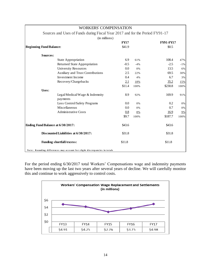| WORKERS' COMPENSATION                                                        |             |       |                  |        |
|------------------------------------------------------------------------------|-------------|-------|------------------|--------|
| Sources and Uses of Funds during Fiscal Year 2017 and for the Period FY91-17 |             |       |                  |        |
| (in millions)                                                                |             |       |                  |        |
|                                                                              | <b>FY17</b> |       | <b>FY91-FY17</b> |        |
| <b>Beginning Fund Balance:</b>                                               | \$41.9      |       | \$0.5            |        |
| Sources:                                                                     |             |       |                  |        |
| <b>State Appropriation</b>                                                   | 6.9         | 61%   | 108.4            | 47%    |
| <b>Returned State Appropriation</b>                                          | $-0.5$      | $-4%$ | $-2.5$           | $-1\%$ |
| <b>University Resources</b>                                                  | 0.0         | 0%    | 13.5             | 6%     |
| Auxiliary and Trust Contributions                                            | 2.5         | 22%   | 69.5             | 30%    |
| Investment Income                                                            | 0.4         | 4%    | 6.7              | 3%     |
| Recovery/Chargebacks                                                         | 2.1         | 18%   | 35.2             | 15%    |
|                                                                              | \$11.4      | 100%  | \$230.8          | 100%   |
| Uses:                                                                        |             |       |                  |        |
| Legal/Medical/Wage & Indemnity<br>payments                                   | 8.9         | 92%   | 169.9            | 91%    |
| Loss Control/Safety Programs                                                 | 0.0         | 0%    | 0.2              | 0%     |
| Miscellaneous                                                                | 0.0         | 0%    | 0.7              | 0%     |
| <b>Administrative Costs</b>                                                  | 0.8         | 8%    | <u>16.9</u>      | 9%     |
|                                                                              | \$9.7       | 100%  | \$187.7          | 100%   |
| Ending Fund Balance at 6/30/2017:                                            | \$43.6      |       | \$43.6           |        |
| Discounted Liabilities at 6/30/2017:                                         | \$31.8      |       | \$31.8           |        |
| <b>Funding shortfall/excess:</b>                                             | \$11.8      |       | \$11.8           |        |
| Note: Rounding differences may account for slight discrepancies in totals    |             |       |                  |        |

For the period ending 6/30/2017 total Workers' Compensations wage and indemnity payments have been moving up the last two years after several years of decline. We will carefully monitor this and continue to work aggressively to control costs.

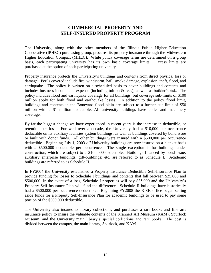## **COMMERCIAL PROPERTY AND SELF-INSURED PROPERTY PROGRAM**

The University, along with the other members of the Illinois Public Higher Education Cooperative (IPHEC) purchasing group, procures its property insurance through the Midwestern Higher Education Compact (MHEC). While policy coverage terms are determined on a group basis, each participating university has its own basic coverage limits. Excess limits are purchased at the option of each participating university.

Property insurance protects the University's buildings and contents from direct physical loss or damage. Perils covered include fire, windstorm, hail, smoke damage, explosion, theft, flood, and earthquake. The policy is written on a scheduled basis to cover buildings and contents and includes business income and expense (including tuition & fees), as well as builder's risk. The policy includes flood and earthquake coverage for all buildings, but coverage sub-limits of \$100 million apply for both flood and earthquake losses. In addition to the policy flood limit, buildings and contents in the Boneyard flood plain are subject to a further sub-limit of \$50 million with a \$1 million deductible. All university buildings have boiler and machinery coverage.

By far the biggest change we have experienced in recent years is the increase in deductible, or retention per loss. For well over a decade, the University had a \$10,000 per occurrence deductible on its auxiliary facilities system buildings, as well as buildings covered by bond issue or built with donor funds. All other buildings were insured with a \$500,000 per occurrence deductible. Beginning July 1, 2003 *all* University buildings are now insured on a blanket basis with a \$500,000 deductible per occurrence. The single exception is for buildings under construction, which are subject to a \$100,000 deductible. Buildings financed by bond issue; auxiliary enterprise buildings; gift-buildings; etc. are referred to as Schedule I. Academic buildings are referred to as Schedule II.

In FY2004 the University established a Property Insurance Deductible Self-Insurance Plan to provide funding for losses to Schedule I buildings and contents that fall between \$25,000 and \$500,000. In the event of a loss, Schedule I properties will pay \$25,000 and the University's Property Self-Insurance Plan will fund the difference. Schedule II buildings have historically had a \$500,000 per occurrence deductible. Beginning FY2008 the RISK office began setting aside funds for a Property Self-Insurance Plan for academic buildings to be used to pay some portion of the \$500,000 deductible.

The University also insures its library collections, and purchases a rare books and fine arts insurance policy to insure the valuable contents of the Krannert Art Museum (KAM), Spurlock Museum, and the University main library's special collections and rare books. The cost is divided between the campus, the main library, Spurlock, and KAM.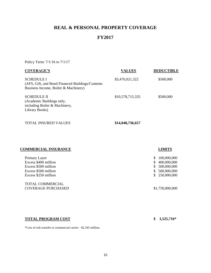# **REAL & PERSONAL PROPERTY COVERAGE**

# **FY2017**

Policy Term: 7/1/16 to 7/1/17

| <b>COVERAGE'S</b>                                                                                              | <b>VALUES</b>    | <b>DEDUCTIBLE</b> |
|----------------------------------------------------------------------------------------------------------------|------------------|-------------------|
| <b>SCHEDULE I</b><br>(AFS, Gift, and Bond Financed Buildings/Contents)<br>Business Income, Boiler & Machinery) | \$3,470,021,322  | \$500,000         |
| <b>SCHEDULE II</b><br>(Academic Buildings only,<br>including Boiler & Machinery,<br>Library Books)             | \$10,578,715,335 | \$500,000         |

 $$14,048,736,657$ 

|  |  | <b>TOTAL INSURED VALUES</b> |  |
|--|--|-----------------------------|--|
|--|--|-----------------------------|--|

## **COMMERCIAL INSURANCE LIMITS**

| Primary Layer<br>Excess \$400 million<br>Excess \$500 million<br>Excess \$500 million<br>Excess \$250 million | \$.<br>\$. | 100,000,000<br>400,000,000<br>\$ 500,000,000<br>\$500,000,000<br>\$ 250,000,000 |
|---------------------------------------------------------------------------------------------------------------|------------|---------------------------------------------------------------------------------|
| <b>TOTAL COMMERCIAL</b><br><b>COVERAGE PURCHASED</b>                                                          |            | \$1,750,000,000                                                                 |

## **TOTAL PROGRAM COST \$ 3,525,716\***

\*Cost of risk transfer to commercial carrier - \$2.345 million.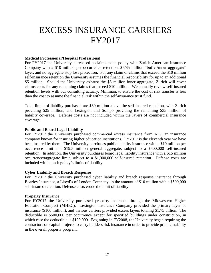# EXCESS INSURANCE CARRIERS FY2017

### **Medical Professional/Hospital Professional**

For FY2017 the University purchased a claims-made policy with Zurich American Insurance Company with a \$10 million per occurrence retention, \$5/\$5 million "buffer/inner aggregate" layer, and no aggregate stop loss protection. For any claim or claims that exceed the \$10 million self-insurance retention the University assumes the financial responsibility for up to an additional \$5 million. Should the University exhaust the \$5 million inner aggregate, Zurich will cover claims costs for any remaining claims that exceed \$10 million. We annually review self-insured retention levels with our consulting actuary, Milliman, to ensure the cost of risk transfer is less than the cost to assume the financial risk within the self-insurance trust fund.

Total limits of liability purchased are \$60 million above the self-insured retention, with Zurich providing \$25 million, and Lexington and Sompo providing the remaining \$35 million of liability coverage. Defense costs are not included within the layers of commercial insurance coverage.

### **Public and Board Legal Liability**

For FY2017 the University purchased commercial excess insurance from AIG, an insurance company known for insuring higher education institutions. FY2017 is the eleventh year we have been insured by them. The University purchases public liability insurance with a \$10 million per occurrence limit and \$19.5 million general aggregate, subject to a \$500,000 self-insured retention. In addition, the University purchases board legal liability insurance with a \$15 million occurrence/aggregate limit, subject to a \$1,000,000 self-insured retention. Defense costs are included within each policy's limits of liability.

### **Cyber Liability and Breach Response**

For FY2017 the University purchased cyber liability and breach response insurance through Beazley Insurance, a Lloyd's of London Company, in the amount of \$10 million with a \$500,000 self-insured retention. Defense costs erode the limit of liability.

### **Property Insurance**

For FY2017 the University purchased property insurance through the Midwestern Higher Education Compact (MHEC). Lexington Insurance Company provided the primary layer of insurance (\$100 million), and various carriers provided excess layers totaling \$1.75 billion. The deductible is \$500,000 per occurrence except for specified buildings under construction, in which case the deductible is \$100,000. Beginning in FY2008, the University began requiring the contractors on capital projects to carry builders risk insurance in order to provide pricing stability in the overall property program.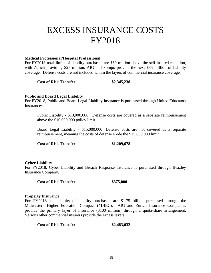# EXCESS INSURANCE COSTS FY2018

### **Medical Professional/Hospital Professional**

For FY2018 total limits of liability purchased are \$60 million above the self-insured retention, with Zurich providing \$25 million. AIG and Sompo provide the next \$35 million of liability coverage. Defense costs are not included within the layers of commercial insurance coverage.

**Cost of Risk Transfer: \$2,345,238**

### **Public and Board Legal Liability**

For FY2018, Public and Board Legal Liability insurance is purchased through United Educators Insurance:

Public Liability - \$10,000,000. Defense costs are covered as a separate reimbursement above the \$10,000,000 policy limit.

Board Legal Liability - \$15,000,000. Defense costs are not covered as a separate reimbursement, meaning the costs of defense erode the \$15,000,000 limit.

**Cost of Risk Transfer: \$1,209,678** 

### **Cyber Liability**

For FY2018, Cyber Liability and Breach Response insurance is purchased through Beazley Insurance Company.

**Cost of Risk Transfer: \$375,000**

#### **Property Insurance**

For FY2018, total limits of liability purchased are \$1.75 billion purchased through the Midwestern Higher Education Compact (MHEC). AIG and Zurich Insurance Companies provide the primary layer of insurance (\$100 million) through a quota-share arrangement. Various other commercial insurers provide the excess layers.

**Cost of Risk Transfer: \$2,483,032**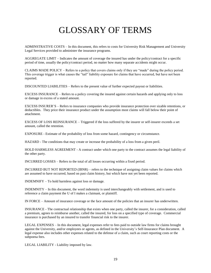# GLOSSARY OF TERMS

ADMINSTRATIVE COSTS – In this document, this refers to costs for University Risk Management and University Legal Services provided to administer the insurance programs.

AGGREGATE LIMIT – Indicates the amount of coverage the insured has under the policy/contract for a specific period of time, usually the policy/contract period, no matter how many separate accidents might occur.

CLAIMS MADE POLICY – Refers to a policy that covers claims only if they are "made" during the policy period. This coverage trigger is what causes the "tail" liability exposure for claims that have occurred, but have not been reported.

DISCOUNTED LIABILITIES – Refers to the present value of further expected payout or liabilities.

EXCESS INSURANCE – Refers to a policy covering the insured against certain hazards and applying only to loss or damage in excess of a stated amount.

EXCESS INSURER'S – Refers to insurance companies who provide insurance protection over sizable retentions, or deductibles. They price their insurance product under the assumption most claims will fall below their point of attachment.

EXCESS OF LOSS REINSURANCE – Triggered if the loss suffered by the insurer or self-insurer exceeds a set amount, called the retention.

EXPOSURE - Estimate of the probability of loss from some hazard, contingency or circumstance.

HAZARD - The conditions that may create or increase the probability of a loss from a given peril.

HOLD HARMLESS AGREEMENT - A contract under which one party to the contract assumes the legal liability of the other party.

INCURRED LOSSES – Refers to the total of all losses occurring within a fixed period.

INCURRED BUT NOT REPORTED (IBNR) – refers to the technique of assigning claim values for claims which are assumed to have occurred, based on past claim history, but which have not yet been reported.

INDEMNIFY – To hold harmless against loss or damage.

INDEMNITY – In this document, the word indemnity is used interchangeably with settlement, and is used to reference a claim payment the U of I makes a claimant, or plaintiff.

IN FORCE – Amount of insurance coverage or the face amount of the policies that an insurer has underwritten.

INSURANCE - The contractual relationship that exists when one party, called the insurer, for a consideration, called a premium, agrees to reimburse another, called the insured, for loss on a specified type of coverage. Commercial insurance is purchased by an insured to transfer financial risk to the insurer.

LEGAL EXPENSES – In this document, legal expenses refer to fees paid to outside law firms for claims brought against the University, and/or employees or agents, as defined in the University's Self-Insurance Plan document. A legal expense also includes other expenses related to the defense of a claim, such as court reporting costs or the subpoena fees.

LEGAL LIABILITY - Liability imposed by law.